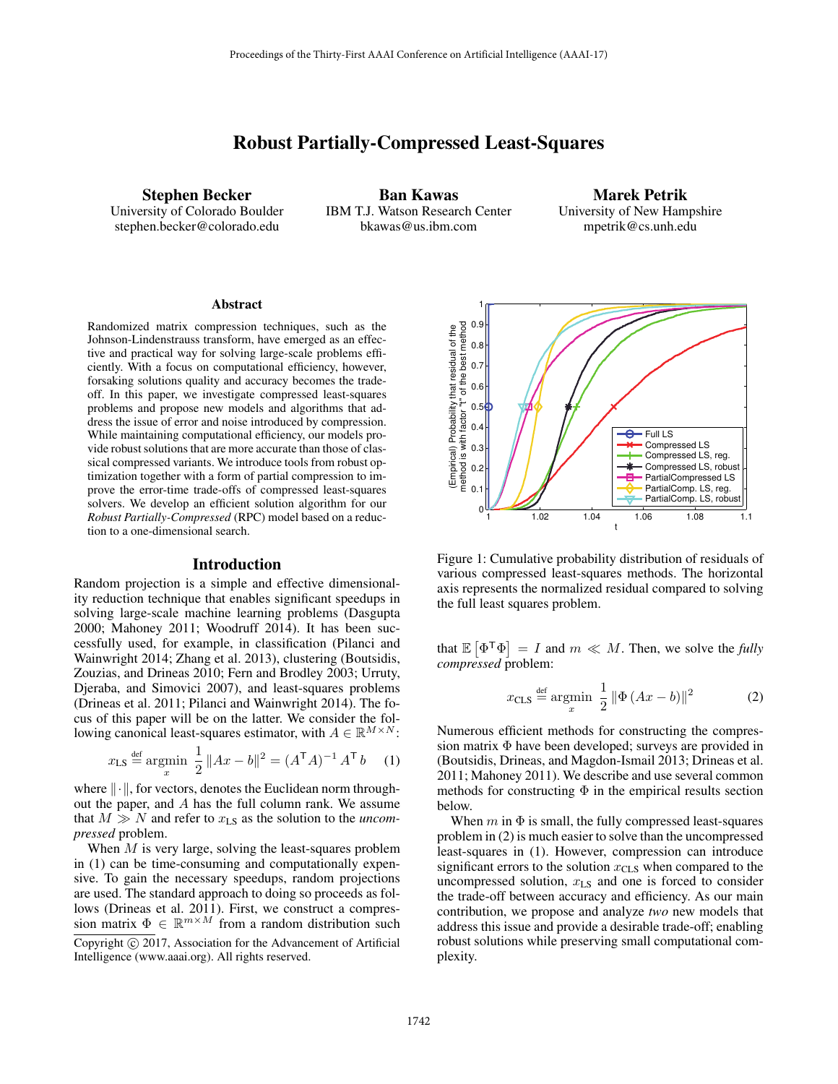# Robust Partially-Compressed Least-Squares

Stephen Becker University of Colorado Boulder stephen.becker@colorado.edu

Ban Kawas IBM T.J. Watson Research Center bkawas@us.ibm.com

Marek Petrik University of New Hampshire mpetrik@cs.unh.edu

#### Abstract

Randomized matrix compression techniques, such as the Johnson-Lindenstrauss transform, have emerged as an effective and practical way for solving large-scale problems efficiently. With a focus on computational efficiency, however, forsaking solutions quality and accuracy becomes the tradeoff. In this paper, we investigate compressed least-squares problems and propose new models and algorithms that address the issue of error and noise introduced by compression. While maintaining computational efficiency, our models provide robust solutions that are more accurate than those of classical compressed variants. We introduce tools from robust optimization together with a form of partial compression to improve the error-time trade-offs of compressed least-squares solvers. We develop an efficient solution algorithm for our *Robust Partially-Compressed* (RPC) model based on a reduction to a one-dimensional search.

# Introduction

Random projection is a simple and effective dimensionality reduction technique that enables significant speedups in solving large-scale machine learning problems (Dasgupta 2000; Mahoney 2011; Woodruff 2014). It has been successfully used, for example, in classification (Pilanci and Wainwright 2014; Zhang et al. 2013), clustering (Boutsidis, Zouzias, and Drineas 2010; Fern and Brodley 2003; Urruty, Djeraba, and Simovici 2007), and least-squares problems (Drineas et al. 2011; Pilanci and Wainwright 2014). The focus of this paper will be on the latter. We consider the following canonical least-squares estimator, with  $A \in \mathbb{R}^{M \times N}$ :

$$
x_{\text{LS}} \stackrel{\text{def}}{=} \text{argmin} \ \frac{1}{2} \|Ax - b\|^2 = (A^{\mathsf{T}}A)^{-1} A^{\mathsf{T}} b \tag{1}
$$

where  $\|\cdot\|$ , for vectors, denotes the Euclidean norm throughout the paper, and A has the full column rank. We assume that  $M \gg N$  and refer to  $x<sub>LS</sub>$  as the solution to the *uncompressed* problem.

When  $M$  is very large, solving the least-squares problem in (1) can be time-consuming and computationally expensive. To gain the necessary speedups, random projections are used. The standard approach to doing so proceeds as follows (Drineas et al. 2011). First, we construct a compression matrix  $\Phi \in \mathbb{R}^{m \times M}$  from a random distribution such Copyright  $\odot$  2017, Association for the Advancement of Artificial Intelligence (www.aaai.org). All rights reserved.



Figure 1: Cumulative probability distribution of residuals of various compressed least-squares methods. The horizontal axis represents the normalized residual compared to solving the full least squares problem.

that  $\mathbb{E} \left[ \Phi^T \Phi \right] = I$  and  $m \ll M$ . Then, we solve the *fully* compressed problem: *compressed* problem:

$$
x_{\text{CLS}} \stackrel{\text{def}}{=} \underset{x}{\text{argmin}} \frac{1}{2} \|\Phi(Ax - b)\|^2 \tag{2}
$$

Numerous efficient methods for constructing the compression matrix Φ have been developed; surveys are provided in (Boutsidis, Drineas, and Magdon-Ismail 2013; Drineas et al. 2011; Mahoney 2011). We describe and use several common methods for constructing  $\Phi$  in the empirical results section below.

When  $m$  in  $\Phi$  is small, the fully compressed least-squares problem in (2) is much easier to solve than the uncompressed least-squares in (1). However, compression can introduce significant errors to the solution  $x_{\text{CLS}}$  when compared to the uncompressed solution,  $x_{LS}$  and one is forced to consider the trade-off between accuracy and efficiency. As our main contribution, we propose and analyze *two* new models that address this issue and provide a desirable trade-off; enabling robust solutions while preserving small computational complexity.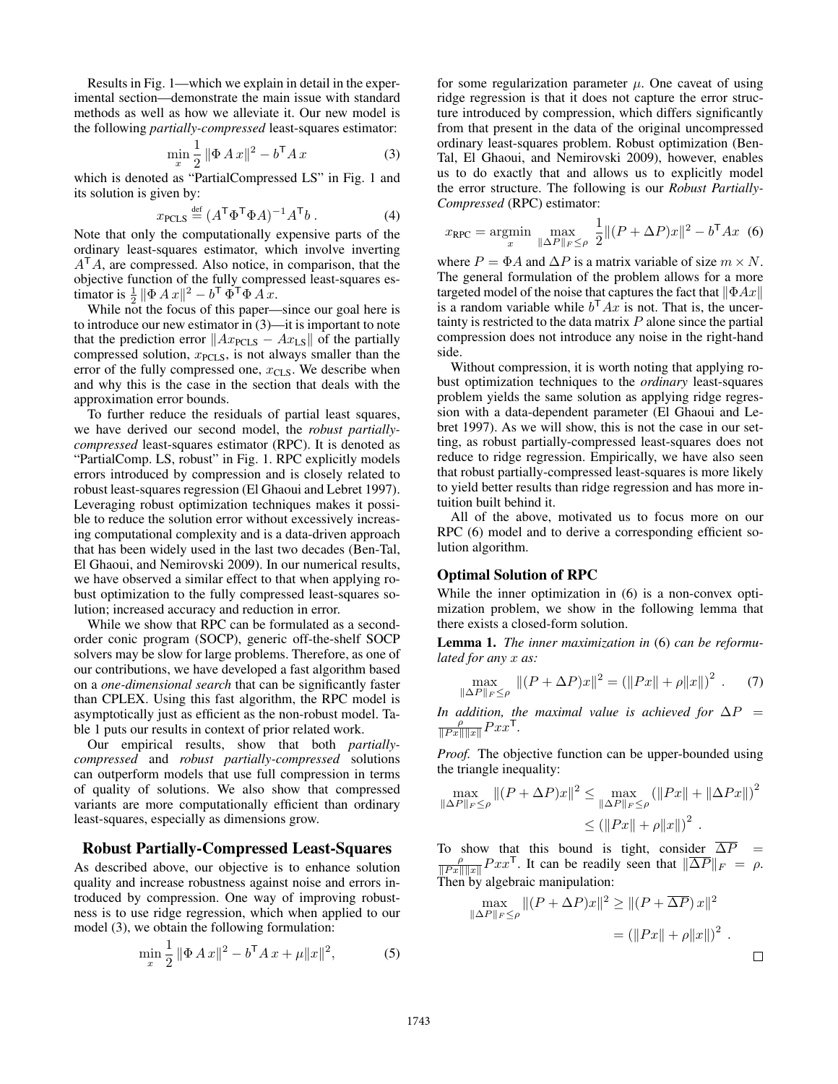Results in Fig. 1—which we explain in detail in the experimental section—demonstrate the main issue with standard methods as well as how we alleviate it. Our new model is the following *partially-compressed* least-squares estimator:

$$
\min_{x} \frac{1}{2} \|\Phi A x\|^2 - b^{\mathsf{T}} A x
$$
 (3)  
which is denoted as "PartialCompressed LS" in Fig. 1 and

its solution is given by:

$$
x_{\text{PCLS}} \stackrel{\text{def}}{=} (A^{\mathsf{T}} \Phi^{\mathsf{T}} \Phi A)^{-1} A^{\mathsf{T}} b . \tag{4}
$$

 $x_{\text{PCLS}} \stackrel{\text{def}}{=} (A^{\mathsf{T}} \Phi^{\mathsf{T}} \Phi A)^{-1} A^{\mathsf{T}} b$ . (4)<br>Note that only the computationally expensive parts of the ordinary least-squares estimator, which involve inverting  $A<sup>T</sup>A$ , are compressed. Also notice, in comparison, that the objective function of the fully compressed least-squares estimator is  $\frac{1}{2} \|\Phi Ax\|^2 - b^{\mathsf{T}} \Phi^{\mathsf{T}} \Phi A \hat{x}$ .<br>While not the focus of this paper–

While not the focus of this paper—since our goal here is to introduce our new estimator in (3)—it is important to note that the prediction error  $||Ax_{\text{PCLS}} - Ax_{\text{LS}}||$  of the partially compressed solution,  $x_{\text{PCLS}}$ , is not always smaller than the error of the fully compressed one,  $x_{\text{CLS}}$ . We describe when and why this is the case in the section that deals with the approximation error bounds.

To further reduce the residuals of partial least squares, we have derived our second model, the *robust partiallycompressed* least-squares estimator (RPC). It is denoted as "PartialComp. LS, robust" in Fig. 1. RPC explicitly models errors introduced by compression and is closely related to robust least-squares regression (El Ghaoui and Lebret 1997). Leveraging robust optimization techniques makes it possible to reduce the solution error without excessively increasing computational complexity and is a data-driven approach that has been widely used in the last two decades (Ben-Tal, El Ghaoui, and Nemirovski 2009). In our numerical results, we have observed a similar effect to that when applying robust optimization to the fully compressed least-squares solution; increased accuracy and reduction in error.

While we show that RPC can be formulated as a secondorder conic program (SOCP), generic off-the-shelf SOCP solvers may be slow for large problems. Therefore, as one of our contributions, we have developed a fast algorithm based on a *one-dimensional search* that can be significantly faster than CPLEX. Using this fast algorithm, the RPC model is asymptotically just as efficient as the non-robust model. Table 1 puts our results in context of prior related work.

Our empirical results, show that both *partiallycompressed* and *robust partially-compressed* solutions can outperform models that use full compression in terms of quality of solutions. We also show that compressed variants are more computationally efficient than ordinary least-squares, especially as dimensions grow.

# Robust Partially-Compressed Least-Squares

As described above, our objective is to enhance solution quality and increase robustness against noise and errors introduced by compression. One way of improving robustness is to use ridge regression, which when applied to our model (3), we obtain the following formulation:

$$
\min_{x} \frac{1}{2} \|\Phi A x\|^2 - b^{\mathsf{T}} A x + \mu \|x\|^2,\tag{5}
$$

for some regularization parameter  $\mu$ . One caveat of using ridge regression is that it does not capture the error structure introduced by compression, which differs significantly from that present in the data of the original uncompressed ordinary least-squares problem. Robust optimization (Ben-Tal, El Ghaoui, and Nemirovski 2009), however, enables us to do exactly that and allows us to explicitly model the error structure. The following is our *Robust Partially-Compressed* (RPC) estimator:

$$
x_{\rm RPC} = \underset{x}{\text{argmin}} \max_{\|\Delta P\|_F \le \rho} \frac{1}{2} \|(P + \Delta P)x\|^2 - b^{\mathsf{T}} Ax \tag{6}
$$

where  $P = \Phi A$  and  $\Delta P$  is a matrix variable of size  $m \times N$ .<br>The general formulation of the problem allows for a more The general formulation of the problem allows for a more targeted model of the noise that captures the fact that  $\|\Phi Ax\|$ is a random variable while  $b<sup>T</sup>Ax$  is not. That is, the uncertainty is restricted to the data matrix  $P$  alone since the partial compression does not introduce any noise in the right-hand side.

Without compression, it is worth noting that applying robust optimization techniques to the *ordinary* least-squares problem yields the same solution as applying ridge regression with a data-dependent parameter (El Ghaoui and Lebret 1997). As we will show, this is not the case in our setting, as robust partially-compressed least-squares does not reduce to ridge regression. Empirically, we have also seen that robust partially-compressed least-squares is more likely to yield better results than ridge regression and has more intuition built behind it.

All of the above, motivated us to focus more on our RPC (6) model and to derive a corresponding efficient solution algorithm.

## Optimal Solution of RPC

 $\parallel$ 

While the inner optimization in (6) is a non-convex optimization problem, we show in the following lemma that there exists a closed-form solution.

Lemma 1. *The inner maximization in* (6) *can be reformulated for any* x *as:*

$$
\max_{\Delta P \parallel_F \le \rho} \|(P + \Delta P)x\|^2 = (\|Px\| + \rho \|x\|)^2 \ . \tag{7}
$$

*In addition, the maximal value is achieved for*  $\Delta P$  =  $\frac{\rho}{\|Px\|\|x\|}Pxx^{\mathsf{T}}.$ 

*Proof.* The objective function can be upper-bounded using the triangle inequality:

$$
\max_{\|\Delta P\|_F \le \rho} \| (P + \Delta P)x \|^2 \le \max_{\|\Delta P\|_F \le \rho} (\|Px\| + \|\Delta Px\|)^2
$$
  

$$
\le (\|Px\| + \rho \|x\|)^2.
$$

To show that this bound is tight, consider  $\overline{\Delta}P =$  $\frac{\rho}{\|Px\|\|x\|}Pxx^{\mathsf{T}}$ . It can be readily seen that  $\|\overline{\Delta P}\|_F = \rho$ .<br>Then by algebraic manipulation:

$$
\max_{\|\Delta P\|_F \le \rho} \| (P + \Delta P)x \|^2 \ge \| (P + \overline{\Delta P}) x \|^2
$$

$$
= (\|Px\| + \rho \|x\|)^2 .
$$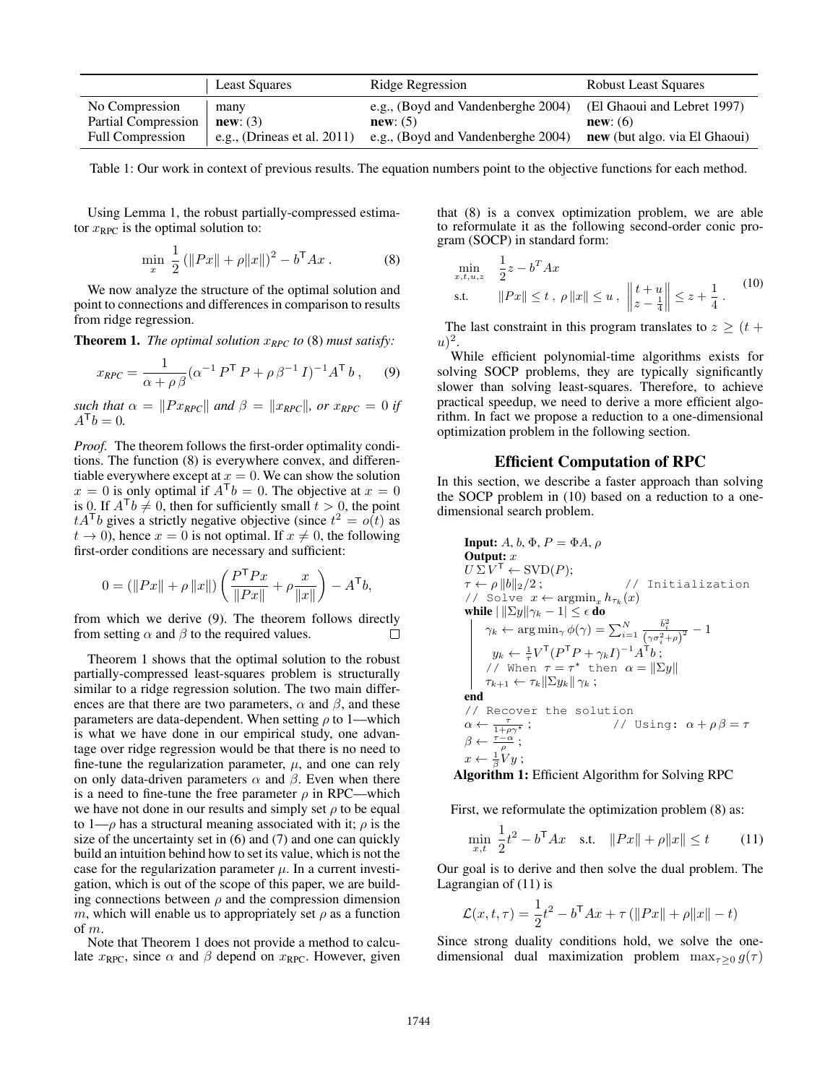|                     | <b>Least Squares</b>           | Ridge Regression                   | <b>Robust Least Squares</b>   |
|---------------------|--------------------------------|------------------------------------|-------------------------------|
| No Compression      | many                           | e.g., (Boyd and Vandenberghe 2004) | (El Ghaoui and Lebret 1997)   |
| Partial Compression | new: (3)                       | new: (5)                           | new: (6)                      |
| Full Compression    | e.g., (Drineas et al. $2011$ ) | e.g., (Boyd and Vandenberghe 2004) | new (but algo. via El Ghaoui) |

Table 1: Our work in context of previous results. The equation numbers point to the objective functions for each method.

 $\overline{r}$ 

Using Lemma 1, the robust partially-compressed estimator  $x_{\text{RPC}}$  is the optimal solution to:

$$
\min_{x} \frac{1}{2} (||Px|| + \rho ||x||)^2 - b^{\mathsf{T}} Ax. \tag{8}
$$

We now analyze the structure of the optimal solution and point to connections and differences in comparison to results from ridge regression.

**Theorem 1.** *The optimal solution*  $x_{RPC}$  *to* (8) *must satisfy:* 

$$
x_{RPC} = \frac{1}{\alpha + \rho \beta} (\alpha^{-1} P^{\mathsf{T}} P + \rho \beta^{-1} I)^{-1} A^{\mathsf{T}} b , \qquad (9)
$$

*such that*  $\alpha = ||Px_{RPC}||$  *and*  $\beta = ||x_{RPC}||$ *, or*  $x_{RPC} = 0$  *if*  $A^{\mathsf{T}}b = 0.$ 

*Proof.* The theorem follows the first-order optimality conditions. The function (8) is everywhere convex, and differentiable everywhere except at  $x = 0$ . We can show the solution  $x = 0$  is only optimal if  $A^{T}b = 0$ . The objective at  $x = 0$  $x = 0$  is only optimal if  $A^T b = 0$ . The objective at  $x = 0$ <br>is 0. If  $A^T b \neq 0$ , then for sufficiently small  $t > 0$ , the point is 0. If  $A^{\mathsf{T}}b \neq 0$ , then for sufficiently small  $t > 0$ , the point  $tA^Tb$  gives a strictly negative objective (since  $t^2 = o(t)$  as  $t \to 0$ ) hence  $r = 0$  is not optimal. If  $r \neq 0$  the following  $t \to 0$ ), hence  $x = 0$  is not optimal. If  $x \neq 0$ , the following first-order conditions are necessary and sufficient:

$$
0 = (\|Px\| + \rho \|x\|) \left( \frac{P^{\mathsf{T}} Px}{\|Px\|} + \rho \frac{x}{\|x\|} \right) - A^{\mathsf{T}} b,
$$

from which we derive (9). The theorem follows directly from setting  $\alpha$  and  $\beta$  to the required values. П

Theorem 1 shows that the optimal solution to the robust partially-compressed least-squares problem is structurally similar to a ridge regression solution. The two main differences are that there are two parameters,  $\alpha$  and  $\beta$ , and these parameters are data-dependent. When setting  $\rho$  to 1—which is what we have done in our empirical study, one advantage over ridge regression would be that there is no need to fine-tune the regularization parameter,  $\mu$ , and one can rely on only data-driven parameters  $\alpha$  and  $\beta$ . Even when there is a need to fine-tune the free parameter  $\rho$  in RPC—which we have not done in our results and simply set  $\rho$  to be equal to 1— $\rho$  has a structural meaning associated with it;  $\rho$  is the size of the uncertainty set in (6) and (7) and one can quickly build an intuition behind how to set its value, which is not the case for the regularization parameter  $\mu$ . In a current investigation, which is out of the scope of this paper, we are building connections between  $\rho$  and the compression dimension m, which will enable us to appropriately set  $\rho$  as a function of m.

Note that Theorem 1 does not provide a method to calculate  $x_{\text{RPC}}$ , since  $\alpha$  and  $\beta$  depend on  $x_{\text{RPC}}$ . However, given that (8) is a convex optimization problem, we are able to reformulate it as the following second-order conic program (SOCP) in standard form:

$$
\min_{x,t,u,z} \quad \frac{1}{2}z - b^T A x
$$
\n
$$
\text{s.t.} \quad \|Px\| \le t \,, \ \rho \|x\| \le u \,, \ \left\| \frac{t+u}{z - \frac{1}{4}} \right\| \le z + \frac{1}{4} \,.
$$
\n
$$
(10)
$$

The last constraint in this program translates to  $z \ge (t +$  $|u|^2$ .

While efficient polynomial-time algorithms exists for solving SOCP problems, they are typically significantly slower than solving least-squares. Therefore, to achieve practical speedup, we need to derive a more efficient algorithm. In fact we propose a reduction to a one-dimensional optimization problem in the following section.

### Efficient Computation of RPC

In this section, we describe a faster approach than solving the SOCP problem in (10) based on a reduction to a onedimensional search problem.

Input: *A*, *b*, 
$$
\Phi
$$
, *P* =  $\Phi A$ ,  $\rho$   
\nOutput: *x*  
\n $U \Sigma V^{T} \leftarrow \text{SVD}(P);$   
\n $\tau \leftarrow \rho ||b||_{2}/2;$  // Initialization  
\n// Solve  $x \leftarrow \text{argmin}_{x} h_{\tau_k}(x)$   
\nwhile  $||\Sigma y||\gamma_k - 1| \le \epsilon$  do  
\n $\gamma_k \leftarrow \arg \min_{\gamma} \phi(\gamma) = \sum_{i=1}^{N} \frac{\overline{b}_i^2}{(\gamma \sigma_i^2 + \rho)^2} - 1$   
\n $y_k \leftarrow \frac{1}{\tau} V^{T} (P^{T} P + \gamma_k I)^{-1} A^{T} b;$   
\n// When  $\tau = \tau^*$  then  $\alpha = ||\Sigma y||$   
\n $\tau_{k+1} \leftarrow \tau_k ||\Sigma y_k|| \gamma_k;$   
\nend  
\n// Recovery the solution  
\n $\alpha \leftarrow \frac{\tau}{1 + \rho \gamma^*};$  // Using:  $\alpha + \rho \beta = \tau$   
\n $\beta \leftarrow \frac{\tau - \alpha}{\rho};$   
\n $x \leftarrow \frac{1}{\rho} V y;$   
\n*locritum* 1: Efficient Algorithm for Solving PBC

Algorithm 1: Efficient Algorithm for Solving RPC

First, we reformulate the optimization problem (8) as:

$$
\min_{x,t} \frac{1}{2}t^2 - b^{\mathsf{T}}Ax \quad \text{s.t.} \quad ||Px|| + \rho ||x|| \le t \tag{11}
$$

2 Our goal is to derive and then solve the dual problem. The Lagrangian of (11) is

$$
\mathcal{L}(x, t, \tau) = \frac{1}{2}t^2 - b^{\mathsf{T}}Ax + \tau (\|Px\| + \rho \|x\| - t)
$$

Since strong duality conditions hold, we solve the onedimensional dual maximization problem  $\max_{\tau>0} g(\tau)$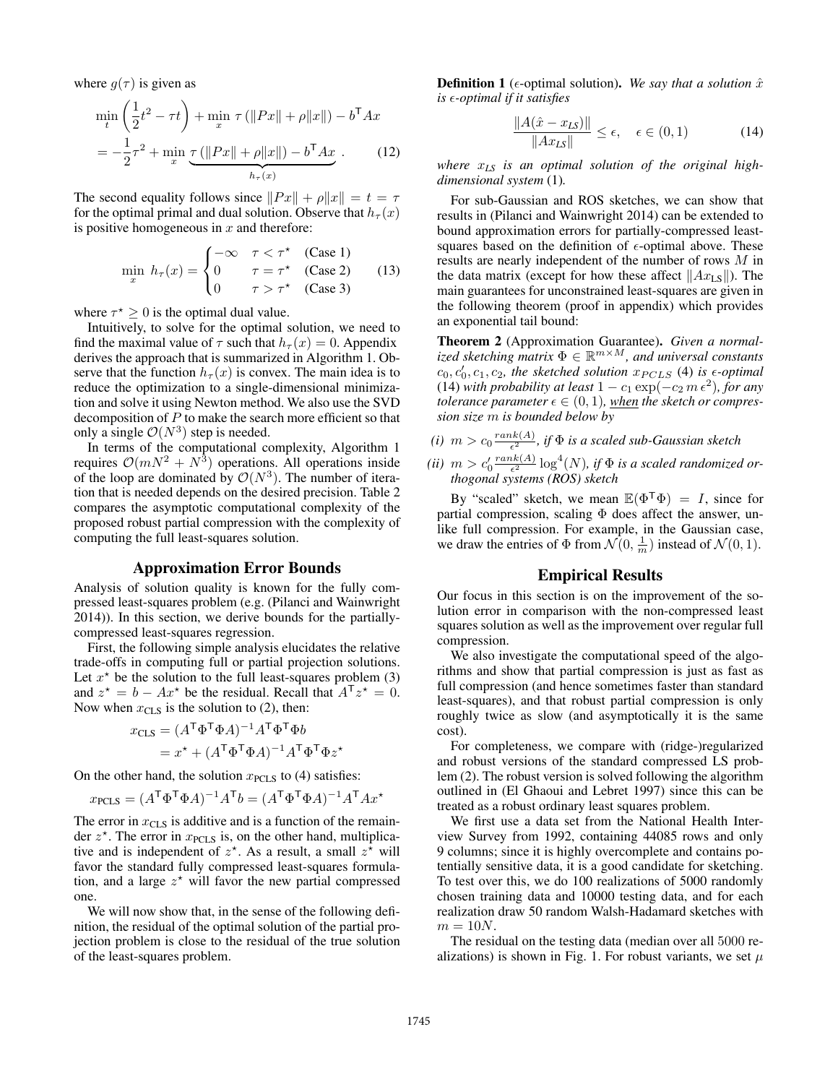where  $q(\tau)$  is given as

$$
\min_{t} \left( \frac{1}{2} t^2 - \tau t \right) + \min_{x} \tau \left( \|Px\| + \rho \|x\| \right) - b^{\mathsf{T}} Ax
$$
\n
$$
= -\frac{1}{2} \tau^2 + \min_{x} \underbrace{\tau \left( \|Px\| + \rho \|x\| \right) - b^{\mathsf{T}} Ax}_{h_{\tau}(x)} . \tag{12}
$$

The second equality follows since  $||Px|| + \rho ||x|| = t = \tau$ for the optimal primal and dual solution. Observe that  $h_\tau(x)$ is positive homogeneous in  $x$  and therefore:

$$
\min_{x} h_{\tau}(x) = \begin{cases}\n-\infty & \tau < \tau^{\star} \quad \text{(Case 1)} \\
0 & \tau = \tau^{\star} \quad \text{(Case 2)} \\
0 & \tau > \tau^{\star} \quad \text{(Case 3)}\n\end{cases}
$$
\n(13)

where  $\tau^* \geq 0$  is the optimal dual value.

Intuitively, to solve for the optimal solution, we need to find the maximal value of  $\tau$  such that  $h_{\tau}(x)=0$ . Appendix derives the approach that is summarized in Algorithm 1. Observe that the function  $h_{\tau}(x)$  is convex. The main idea is to reduce the optimization to a single-dimensional minimization and solve it using Newton method. We also use the SVD decomposition of  $P$  to make the search more efficient so that only a single  $\mathcal{O}(N^3)$  step is needed.

In terms of the computational complexity, Algorithm 1 requires  $\mathcal{O}(mN^2 + N^3)$  operations. All operations inside of the loop are dominated by  $\mathcal{O}(N^3)$ . The number of iteration that is needed depends on the desired precision. Table 2 compares the asymptotic computational complexity of the proposed robust partial compression with the complexity of computing the full least-squares solution.

### Approximation Error Bounds

Analysis of solution quality is known for the fully compressed least-squares problem (e.g. (Pilanci and Wainwright 2014)). In this section, we derive bounds for the partiallycompressed least-squares regression.

First, the following simple analysis elucidates the relative trade-offs in computing full or partial projection solutions. Let  $x^*$  be the solution to the full least-squares problem (3) and  $z^* = b - Ax^*$  be the residual. Recall that  $A^T z^* = 0$ . Now when  $x_{\text{CLS}}$  is the solution to (2), then:

$$
x_{\text{CLS}} = (A^{\mathsf{T}} \Phi^{\mathsf{T}} \Phi A)^{-1} A^{\mathsf{T}} \Phi^{\mathsf{T}} \Phi b
$$
  
=  $x^* + (A^{\mathsf{T}} \Phi^{\mathsf{T}} \Phi A)^{-1} A^{\mathsf{T}} \Phi^{\mathsf{T}} \Phi z^*$ 

On the other hand, the solution  $x_{\text{PCLS}}$  to (4) satisfies:

$$
x_{\text{PCLS}} = (A^{\mathsf{T}} \Phi^{\mathsf{T}} \Phi A)^{-1} A^{\mathsf{T}} b = (A^{\mathsf{T}} \Phi^{\mathsf{T}} \Phi A)^{-1} A^{\mathsf{T}} A x^{\star}
$$

The error in  $x_{\text{CLS}}$  is additive and is a function of the remainder  $z^*$ . The error in  $x_{\text{PCLS}}$  is, on the other hand, multiplicative and is independent of  $z^*$ . As a result, a small  $z^*$  will favor the standard fully compressed least-squares formulation, and a large  $z^*$  will favor the new partial compressed one.

We will now show that, in the sense of the following definition, the residual of the optimal solution of the partial projection problem is close to the residual of the true solution of the least-squares problem.

**Definition 1** ( $\epsilon$ -optimal solution). We say that a solution  $\hat{x}$ *is -optimal if it satisfies*

$$
\frac{\|A(\hat{x} - x_{LS})\|}{\|Ax_{LS}\|} \le \epsilon, \quad \epsilon \in (0, 1)
$$
 (14)

*where* x*LS is an optimal solution of the original highdimensional system* (1)*.*

For sub-Gaussian and ROS sketches, we can show that results in (Pilanci and Wainwright 2014) can be extended to bound approximation errors for partially-compressed leastsquares based on the definition of  $\epsilon$ -optimal above. These results are nearly independent of the number of rows M in the data matrix (except for how these affect  $||Ax_{LS}||$ ). The main guarantees for unconstrained least-squares are given in the following theorem (proof in appendix) which provides an exponential tail bound:

Theorem 2 (Approximation Guarantee). *Given a normalized sketching matrix*  $\Phi \in \mathbb{R}^{m \times M}$ *, and universal constants*  $c_0, c'_0, c_1, c_2$ , the sketched solution  $x_{PCLS}$  (4) is  $\epsilon$ -optimal (14) *with probability at least*  $1 - c_1 \exp(-c_2 m \epsilon^2)$ *, for any tolerance parameter*  $\epsilon \in (0,1)$ *, when the sketch or compression size* m *is bounded below by*

(*i*)  $m > c_0 \frac{rank(A)}{\epsilon^2}$ , if  $\Phi$  *is a scaled sub-Gaussian sketch* 

(*ii*)  $m > c'_0 \frac{rank(A)}{\epsilon^2} \log^4(N)$ , *if*  $\Phi$  *is a scaled randomized or-thogonal systems (ROS) sketch* 

By "scaled" sketch, we mean  $\mathbb{E}(\Phi^T \Phi) = I$ , since for partial compression, scaling Φ does affect the answer, unlike full compression. For example, in the Gaussian case, we draw the entries of  $\Phi$  from  $\mathcal{N}(0, \frac{1}{m})$  instead of  $\mathcal{N}(0, 1)$ .

## Empirical Results

Our focus in this section is on the improvement of the solution error in comparison with the non-compressed least squares solution as well as the improvement over regular full compression.

We also investigate the computational speed of the algorithms and show that partial compression is just as fast as full compression (and hence sometimes faster than standard least-squares), and that robust partial compression is only roughly twice as slow (and asymptotically it is the same cost).

For completeness, we compare with (ridge-)regularized and robust versions of the standard compressed LS problem (2). The robust version is solved following the algorithm outlined in (El Ghaoui and Lebret 1997) since this can be treated as a robust ordinary least squares problem.

We first use a data set from the National Health Interview Survey from 1992, containing 44085 rows and only 9 columns; since it is highly overcomplete and contains potentially sensitive data, it is a good candidate for sketching. To test over this, we do 100 realizations of 5000 randomly chosen training data and 10000 testing data, and for each realization draw 50 random Walsh-Hadamard sketches with  $m = 10N$ .

The residual on the testing data (median over all 5000 realizations) is shown in Fig. 1. For robust variants, we set  $\mu$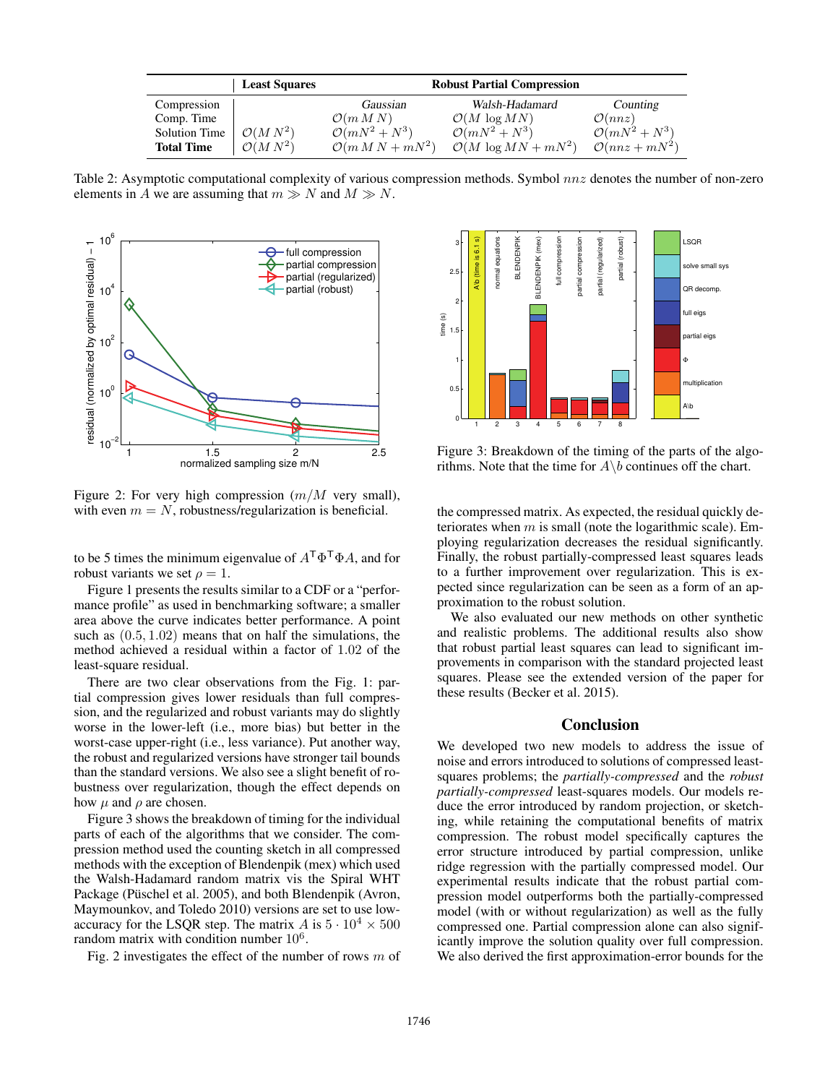|                   | <b>Least Squares</b> | <b>Robust Partial Compression</b> |                                 |                           |
|-------------------|----------------------|-----------------------------------|---------------------------------|---------------------------|
| Compression       |                      | Gaussian                          | Walsh-Hadamard                  | Counting                  |
| Comp. Time        |                      | $\mathcal{O}(m MN)$               | $\mathcal{O}(M \log MN)$        | $\mathcal{O}(nnz)$        |
| Solution Time     | $\mathcal{O}(M N^2)$ | $\mathcal{O}(mN^2+N^3)$           | $\mathcal{O}(mN^2+N^3)$         | $\mathcal{O}(mN^2+N^3)$   |
| <b>Total Time</b> | $\mathcal{O}(M N^2)$ | $\mathcal{O}(m MN + mN^2)$        | $\mathcal{O}(M \log MN + mN^2)$ | $\mathcal{O}(nnz + mN^2)$ |

Table 2: Asymptotic computational complexity of various compression methods. Symbol  $nnz$  denotes the number of non-zero elements in A we are assuming that  $m \gg N$  and  $M \gg N$ .



Figure 2: For very high compression  $(m/M$  very small), with even  $m = N$ , robustness/regularization is beneficial.

to be 5 times the minimum eigenvalue of  $A^{\mathsf{T}} \Phi^{\mathsf{T}} \Phi A$ , and for robust variants we set  $\rho = 1$ .

Figure 1 presents the results similar to a CDF or a "performance profile" as used in benchmarking software; a smaller area above the curve indicates better performance. A point such as (0.5, 1.02) means that on half the simulations, the method achieved a residual within a factor of 1.02 of the least-square residual.

There are two clear observations from the Fig. 1: partial compression gives lower residuals than full compression, and the regularized and robust variants may do slightly worse in the lower-left (i.e., more bias) but better in the worst-case upper-right (i.e., less variance). Put another way, the robust and regularized versions have stronger tail bounds than the standard versions. We also see a slight benefit of robustness over regularization, though the effect depends on how  $\mu$  and  $\rho$  are chosen.

Figure 3 shows the breakdown of timing for the individual parts of each of the algorithms that we consider. The compression method used the counting sketch in all compressed methods with the exception of Blendenpik (mex) which used the Walsh-Hadamard random matrix vis the Spiral WHT Package (Püschel et al. 2005), and both Blendenpik (Avron, Maymounkov, and Toledo 2010) versions are set to use lowaccuracy for the LSQR step. The matrix A is  $5 \cdot 10^4 \times 500$ random matrix with condition number  $10<sup>6</sup>$ .

Fig. 2 investigates the effect of the number of rows  $m$  of



Figure 3: Breakdown of the timing of the parts of the algorithms. Note that the time for  $A \backslash b$  continues off the chart.

the compressed matrix. As expected, the residual quickly deteriorates when  $m$  is small (note the logarithmic scale). Employing regularization decreases the residual significantly. Finally, the robust partially-compressed least squares leads to a further improvement over regularization. This is expected since regularization can be seen as a form of an approximation to the robust solution.

We also evaluated our new methods on other synthetic and realistic problems. The additional results also show that robust partial least squares can lead to significant improvements in comparison with the standard projected least squares. Please see the extended version of the paper for these results (Becker et al. 2015).

#### Conclusion

We developed two new models to address the issue of noise and errors introduced to solutions of compressed leastsquares problems; the *partially-compressed* and the *robust partially-compressed* least-squares models. Our models reduce the error introduced by random projection, or sketching, while retaining the computational benefits of matrix compression. The robust model specifically captures the error structure introduced by partial compression, unlike ridge regression with the partially compressed model. Our experimental results indicate that the robust partial compression model outperforms both the partially-compressed model (with or without regularization) as well as the fully compressed one. Partial compression alone can also significantly improve the solution quality over full compression. We also derived the first approximation-error bounds for the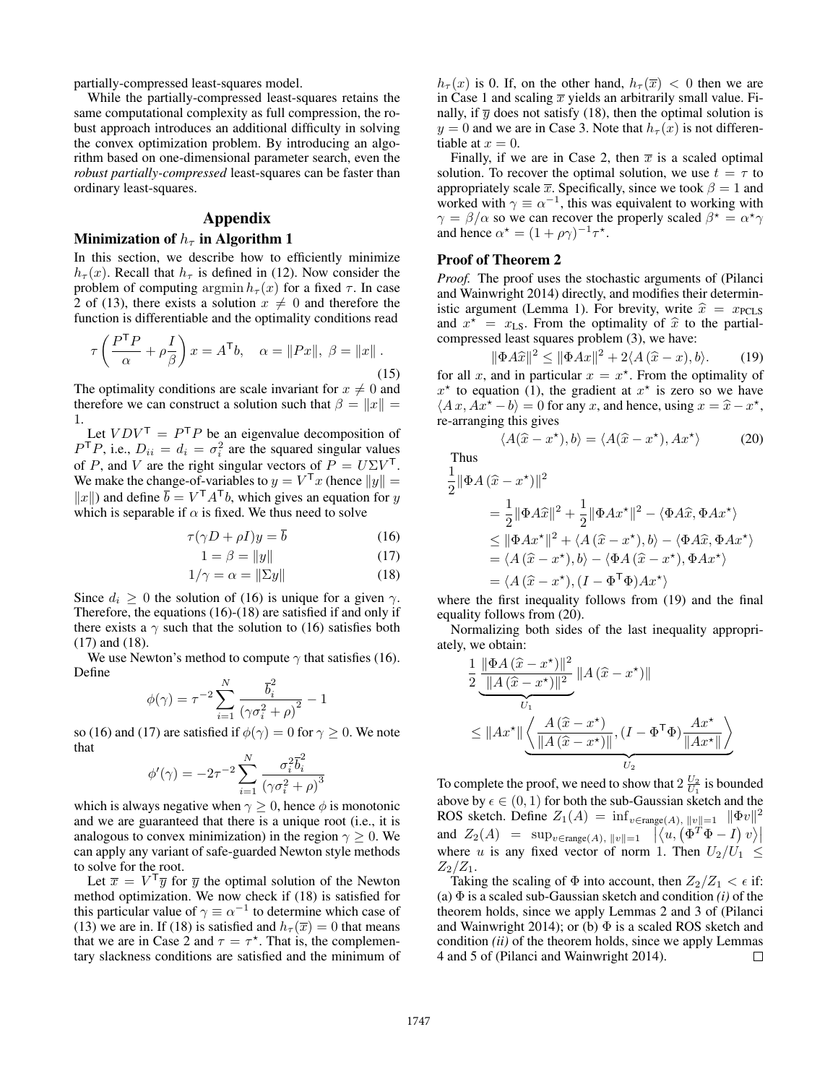partially-compressed least-squares model.

While the partially-compressed least-squares retains the same computational complexity as full compression, the robust approach introduces an additional difficulty in solving the convex optimization problem. By introducing an algorithm based on one-dimensional parameter search, even the *robust partially-compressed* least-squares can be faster than ordinary least-squares.

# Appendix

#### Minimization of  $h_{\tau}$  in Algorithm 1

In this section, we describe how to efficiently minimize  $h_{\tau}(x)$ . Recall that  $h_{\tau}$  is defined in (12). Now consider the problem of computing  $\argmin h_\tau(x)$  for a fixed  $\tau$ . In case 2 of (13), there exists a solution  $x \neq 0$  and therefore the function is differentiable and the optimality conditions read

$$
\tau \left( \frac{P^{\mathsf{T}} P}{\alpha} + \rho \frac{I}{\beta} \right) x = A^{\mathsf{T}} b, \quad \alpha = ||Px||, \ \beta = ||x||.
$$
\n(15)

The optimality conditions are scale invariant for  $x \neq 0$  and therefore we can construct a solution such that  $\beta = ||x|| =$ 1.

Let  $VDV^{\mathsf{T}} = P^{\mathsf{T}}P$  be an eigenvalue decomposition of  $P^{\mathsf{T}}P$ , i.e.,  $D_{ii} = d_i = \sigma_i^2$  are the squared singular values<br>of  $P$  and  $V$  are the right singular vectors of  $P = I/\nabla V^{\mathsf{T}}$ of P, and V are the right singular vectors of  $P = U\Sigma V^{T}$ . We make the change-of-variables to  $y = V<sup>T</sup> x$  (hence  $||y|| =$  $||x||$  and define  $\overline{b} = V^{\mathsf{T}} A^{\mathsf{T}} b$ , which gives an equation for y which is separable if  $\alpha$  is fixed. We thus need to solve

$$
\tau(\gamma D + \rho I)y = \overline{b} \tag{16}
$$

$$
1 = \beta = ||y|| \tag{17}
$$

$$
1/\gamma = \alpha = \|\Sigma y\| \tag{18}
$$

Since  $d_i \geq 0$  the solution of (16) is unique for a given  $\gamma$ .<br>Therefore, the equations (16)-(18) are satisfied if and only if Therefore, the equations (16)-(18) are satisfied if and only if there exists a  $\gamma$  such that the solution to (16) satisfies both (17) and (18).

We use Newton's method to compute  $\gamma$  that satisfies (16). Define

$$
\phi(\gamma) = \tau^{-2} \sum_{i=1}^{N} \frac{\bar{b}_i^2}{(\gamma \sigma_i^2 + \rho)^2} - 1
$$

so (16) and (17) are satisfied if  $\phi(\gamma)=0$  for  $\gamma \ge 0$ . We note that

$$
\phi'(\gamma) = -2\tau^{-2} \sum_{i=1}^{N} \frac{\sigma_i^2 \bar{b}_i^2}{(\gamma \sigma_i^2 + \rho)^3}
$$

which is always negative when  $\gamma \geq 0$ , hence  $\phi$  is monotonic and we are guaranteed that there is a unique root (i.e., it is and we are guaranteed that there is a unique root (i.e., it is analogous to convex minimization) in the region  $\gamma \geq 0$ . We can apply any variant of safe-guarded Newton style methods to solve for the root.

Let  $\overline{x} = V^{\mathsf{T}} \overline{y}$  for  $\overline{y}$  the optimal solution of the Newton method optimization. We now check if (18) is satisfied for this particular value of  $\gamma \equiv \alpha^{-1}$  to determine which case of (13) we are in. If (18) is satisfied and  $h_\tau(\overline{x})=0$  that means that we are in Case 2 and  $\tau = \tau^*$ . That is, the complementary slackness conditions are satisfied and the minimum of  $h_{\tau}(x)$  is 0. If, on the other hand,  $h_{\tau}(\overline{x}) < 0$  then we are in Case 1 and scaling  $\bar{x}$  yields an arbitrarily small value. Finally, if  $\overline{y}$  does not satisfy (18), then the optimal solution is  $y = 0$  and we are in Case 3. Note that  $h_{\tau}(x)$  is not differentiable at  $x = 0$ .

Finally, if we are in Case 2, then  $\bar{x}$  is a scaled optimal solution. To recover the optimal solution, we use  $t = \tau$  to appropriately scale  $\bar{x}$ . Specifically, since we took  $\beta = 1$  and worked with  $\gamma \equiv \alpha^{-1}$ , this was equivalent to working with  $\gamma = \beta/\alpha$  so we can recover the properly scaled  $\beta^* = \alpha^* \gamma$ and hence  $\alpha^* = (1 + \rho \gamma)^{-1} \tau^*$ .

### Proof of Theorem 2

*Proof.* The proof uses the stochastic arguments of (Pilanci and Wainwright 2014) directly, and modifies their deterministic argument (Lemma 1). For brevity, write  $\hat{x} = x_{\text{PCLS}}$ and  $x^* = x_{\text{LS}}$ . From the optimality of  $\hat{x}$  to the partialcompressed least squares problem (3), we have:

$$
\|\Phi A\widehat{x}\|^2 \le \|\Phi Ax\|^2 + 2\langle A(\widehat{x} - x), b\rangle. \tag{19}
$$

for all x, and in particular  $x = x^*$ . From the optimality of  $x^*$  to equation (1) the gradient at  $x^*$  is zero so we have  $x^*$  to equation (1), the gradient at  $x^*$  is zero so we have  $\langle A x, A x^* - b \rangle = 0$  for any x, and hence, using  $x = \hat{x} - x^*$ , re-arranging this gives

$$
\langle A(\hat{x} - x^{\star}), b \rangle = \langle A(\hat{x} - x^{\star}), Ax^{\star} \rangle \tag{20}
$$

Thus

$$
\frac{1}{2} ||\Phi A (\hat{x} - x^*)||^2
$$
\n
$$
= \frac{1}{2} ||\Phi A \hat{x}||^2 + \frac{1}{2} ||\Phi Ax^*||^2 - \langle \Phi A \hat{x}, \Phi Ax^* \rangle
$$
\n
$$
\leq ||\Phi Ax^*||^2 + \langle A(\hat{x} - x^*), b \rangle - \langle \Phi A \hat{x}, \Phi Ax^* \rangle
$$
\n
$$
= \langle A(\hat{x} - x^*), b \rangle - \langle \Phi A(\hat{x} - x^*), \Phi Ax^* \rangle
$$
\n
$$
= \langle A(\hat{x} - x^*), (I - \Phi^T \Phi) Ax^* \rangle
$$
\nwhere the first inequality follows from (19) and the final

equality follows from (20).

Normalizing both sides of the last inequality appropriately, we obtain:

$$
\frac{1}{2} \frac{\|\Phi A(\hat{x} - x^*)\|^2}{\|A(\hat{x} - x^*)\|^2} \|A(\hat{x} - x^*)\|
$$
\n
$$
\leq \|Ax^*\| \underbrace{\left\langle \frac{A(\hat{x} - x^*)}{\|A(\hat{x} - x^*)\|}, (I - \Phi^{\mathsf{T}}\Phi) \frac{Ax^*}{\|Ax^*\|} \right\rangle}_{U_2}
$$

To complete the proof, we need to show that  $2 \frac{U_2}{U_1}$  is bounded<br>above by  $\epsilon \in (0, 1)$  for both the sub-Gaussian skatch and the above by  $\epsilon \in (0,1)$  for both the sub-Gaussian sketch and the ROS sketch. Define  $Z_1(A) = \inf_{v \in \text{range}(A), ||v||=1} ||\Phi v||^2$ and  $Z_2(A) = \sup_{v \in \text{range}(A), ||v|| = 1} |\langle u, (\Phi^T \Phi - I) v \rangle|$ <br>where u is any fixed vector of norm 1. Then  $L_2/L_1$ where u is any fixed vector of norm 1. Then  $U_2/U_1 \leq$  $Z_2/Z_1$ .

Taking the scaling of  $\Phi$  into account, then  $Z_2/Z_1 < \epsilon$  if: (a) Φ is a scaled sub-Gaussian sketch and condition *(i)* of the theorem holds, since we apply Lemmas 2 and 3 of (Pilanci and Wainwright 2014); or (b)  $\Phi$  is a scaled ROS sketch and condition *(ii)* of the theorem holds, since we apply Lemmas 4 and 5 of (Pilanci and Wainwright 2014).  $\Box$